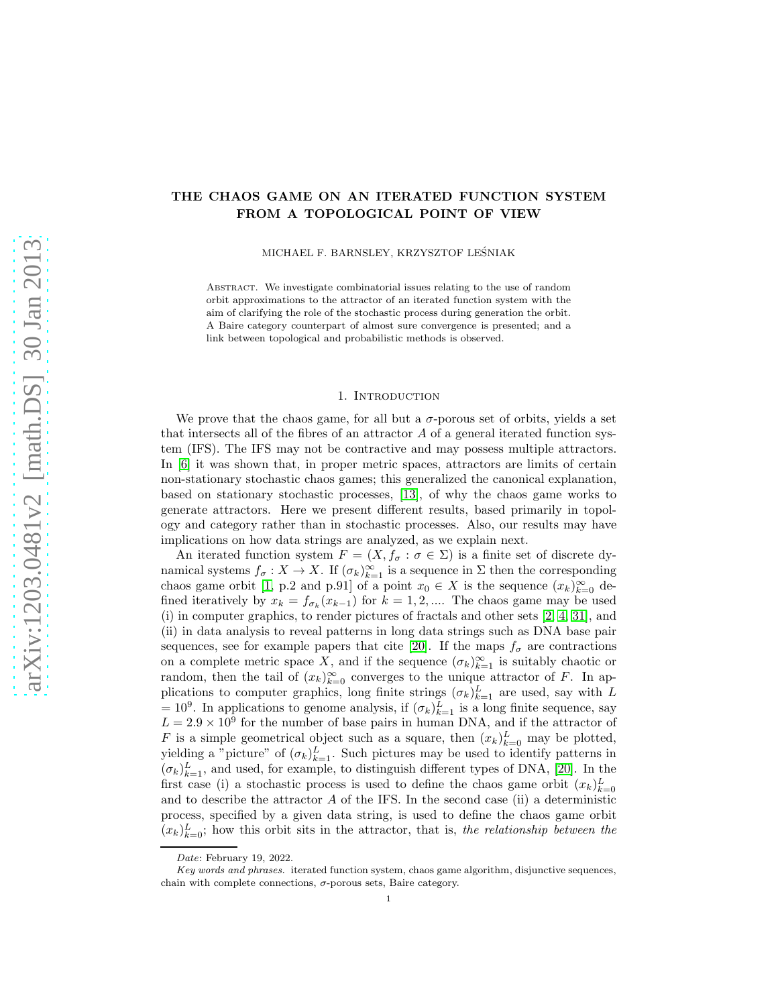# THE CHAOS GAME ON AN ITERATED FUNCTION SYSTEM FROM A TOPOLOGICAL POINT OF VIEW

MICHAEL F. BARNSLEY, KRZYSZTOF LESNIAK ´

Abstract. We investigate combinatorial issues relating to the use of random orbit approximations to the attractor of an iterated function system with the aim of clarifying the role of the stochastic process during generation the orbit. A Baire category counterpart of almost sure convergence is presented; and a link between topological and probabilistic methods is observed.

# 1. INTRODUCTION

We prove that the chaos game, for all but a  $\sigma$ -porous set of orbits, yields a set that intersects all of the fibres of an attractor A of a general iterated function system (IFS). The IFS may not be contractive and may possess multiple attractors. In [\[6\]](#page-12-0) it was shown that, in proper metric spaces, attractors are limits of certain non-stationary stochastic chaos games; this generalized the canonical explanation, based on stationary stochastic processes, [\[13\]](#page-13-0), of why the chaos game works to generate attractors. Here we present different results, based primarily in topology and category rather than in stochastic processes. Also, our results may have implications on how data strings are analyzed, as we explain next.

An iterated function system  $F = (X, f_{\sigma} : \sigma \in \Sigma)$  is a finite set of discrete dynamical systems  $f_{\sigma}: X \to X$ . If  $(\sigma_k)_{k=1}^{\infty}$  is a sequence in  $\Sigma$  then the corresponding chaos game orbit [\[1,](#page-12-1) p.2 and p.91] of a point  $x_0 \in X$  is the sequence  $(x_k)_{k=0}^{\infty}$  defined iteratively by  $x_k = f_{\sigma_k}(x_{k-1})$  for  $k = 1, 2, ...$  The chaos game may be used (i) in computer graphics, to render pictures of fractals and other sets [\[2,](#page-12-2) [4,](#page-12-3) [31\]](#page-13-1), and (ii) in data analysis to reveal patterns in long data strings such as DNA base pair sequences, see for example papers that cite [\[20\]](#page-13-2). If the maps  $f_{\sigma}$  are contractions on a complete metric space X, and if the sequence  $(\sigma_k)_{k=1}^{\infty}$  is suitably chaotic or random, then the tail of  $(x_k)_{k=0}^{\infty}$  converges to the unique attractor of F. In applications to computer graphics, long finite strings  $(\sigma_k)_{k=1}^L$  are used, say with L =  $10^9$ . In applications to genome analysis, if  $(\sigma_k)_{k=1}^L$  is a long finite sequence, say  $L = 2.9 \times 10^9$  for the number of base pairs in human DNA, and if the attractor of F is a simple geometrical object such as a square, then  $(x_k)_{k=0}^L$  may be plotted, yielding a "picture" of  $(\sigma_k)_{k=1}^L$ . Such pictures may be used to identify patterns in  $(\sigma_k)_{k=1}^L$ , and used, for example, to distinguish different types of DNA, [\[20\]](#page-13-2). In the first case (i) a stochastic process is used to define the chaos game orbit  $(x_k)_{k=0}^L$ and to describe the attractor  $A$  of the IFS. In the second case (ii) a deterministic process, specified by a given data string, is used to define the chaos game orbit  $(x_k)_{k=0}^L$ ; how this orbit sits in the attractor, that is, the relationship between the

Date: February 19, 2022.

Key words and phrases. iterated function system, chaos game algorithm, disjunctive sequences, chain with complete connections,  $\sigma$ -porous sets, Baire category.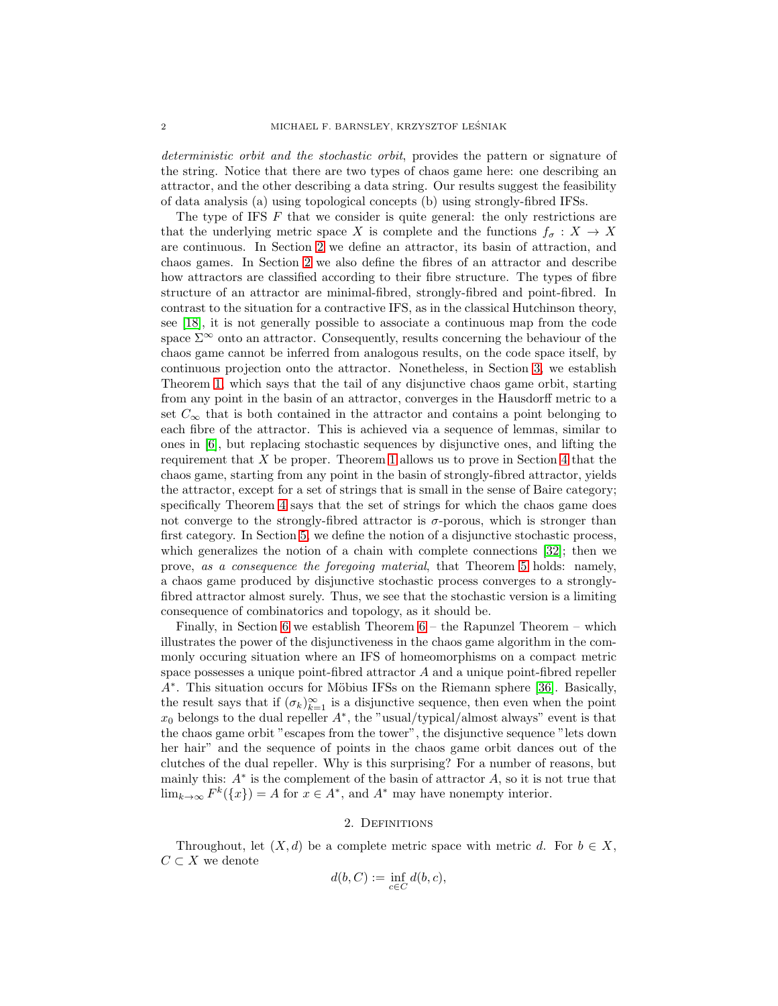deterministic orbit and the stochastic orbit, provides the pattern or signature of the string. Notice that there are two types of chaos game here: one describing an attractor, and the other describing a data string. Our results suggest the feasibility of data analysis (a) using topological concepts (b) using strongly-fibred IFSs.

The type of IFS  $F$  that we consider is quite general: the only restrictions are that the underlying metric space X is complete and the functions  $f_{\sigma}: X \to X$ are continuous. In Section [2](#page-1-0) we define an attractor, its basin of attraction, and chaos games. In Section [2](#page-1-0) we also define the fibres of an attractor and describe how attractors are classified according to their fibre structure. The types of fibre structure of an attractor are minimal-fibred, strongly-fibred and point-fibred. In contrast to the situation for a contractive IFS, as in the classical Hutchinson theory, see [\[18\]](#page-13-3), it is not generally possible to associate a continuous map from the code space  $\Sigma^{\infty}$  onto an attractor. Consequently, results concerning the behaviour of the chaos game cannot be inferred from analogous results, on the code space itself, by continuous projection onto the attractor. Nonetheless, in Section [3,](#page-3-0) we establish Theorem [1,](#page-5-0) which says that the tail of any disjunctive chaos game orbit, starting from any point in the basin of an attractor, converges in the Hausdorff metric to a set  $C_{\infty}$  that is both contained in the attractor and contains a point belonging to each fibre of the attractor. This is achieved via a sequence of lemmas, similar to ones in [\[6\]](#page-12-0), but replacing stochastic sequences by disjunctive ones, and lifting the requirement that  $X$  be proper. Theorem [1](#page-5-0) allows us to prove in Section [4](#page-7-0) that the chaos game, starting from any point in the basin of strongly-fibred attractor, yields the attractor, except for a set of strings that is small in the sense of Baire category; specifically Theorem [4](#page-9-0) says that the set of strings for which the chaos game does not converge to the strongly-fibred attractor is  $\sigma$ -porous, which is stronger than first category. In Section [5,](#page-9-1) we define the notion of a disjunctive stochastic process, which generalizes the notion of a chain with complete connections [\[32\]](#page-13-4); then we prove, as a consequence the foregoing material, that Theorem [5](#page-11-0) holds: namely, a chaos game produced by disjunctive stochastic process converges to a stronglyfibred attractor almost surely. Thus, we see that the stochastic version is a limiting consequence of combinatorics and topology, as it should be.

Finally, in Section [6](#page-12-4) we establish Theorem  $6$  – the Rapunzel Theorem – which illustrates the power of the disjunctiveness in the chaos game algorithm in the commonly occuring situation where an IFS of homeomorphisms on a compact metric space possesses a unique point-fibred attractor A and a unique point-fibred repeller A<sup>\*</sup>. This situation occurs for Möbius IFSs on the Riemann sphere [\[36\]](#page-13-5). Basically, the result says that if  $(\sigma_k)_{k=1}^{\infty}$  is a disjunctive sequence, then even when the point  $x_0$  belongs to the dual repeller  $A^*$ , the "usual/typical/almost always" event is that the chaos game orbit "escapes from the tower", the disjunctive sequence "lets down her hair" and the sequence of points in the chaos game orbit dances out of the clutches of the dual repeller. Why is this surprising? For a number of reasons, but mainly this:  $A^*$  is the complement of the basin of attractor  $A$ , so it is not true that  $\lim_{k\to\infty} F^k({x}) = A$  for  $x \in A^*$ , and  $A^*$  may have nonempty interior.

### 2. Definitions

<span id="page-1-0"></span>Throughout, let  $(X, d)$  be a complete metric space with metric d. For  $b \in X$ ,  $C \subset X$  we denote

$$
d(b, C) := \inf_{c \in C} d(b, c),
$$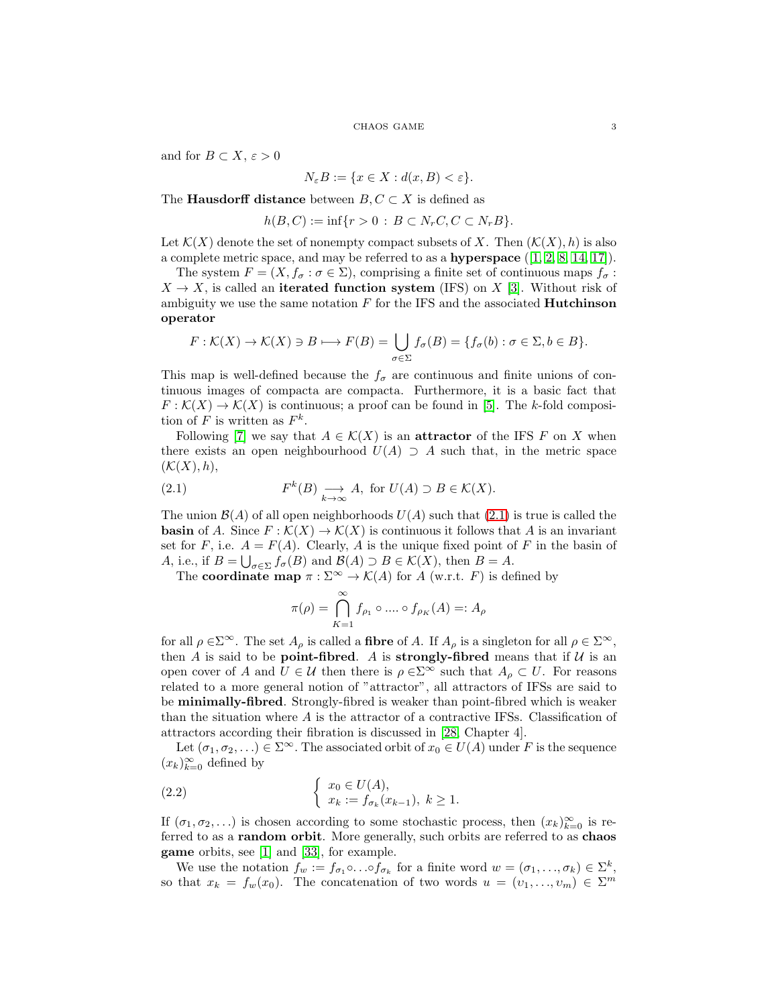and for  $B \subset X, \varepsilon > 0$ 

$$
N_{\varepsilon}B := \{ x \in X : d(x, B) < \varepsilon \}.
$$

The **Hausdorff distance** between  $B, C \subset X$  is defined as

$$
h(B, C) := \inf \{ r > 0 : B \subset N_r C, C \subset N_r B \}.
$$

Let  $\mathcal{K}(X)$  denote the set of nonempty compact subsets of X. Then  $(\mathcal{K}(X), h)$  is also a complete metric space, and may be referred to as a **hyperspace**  $([1, 2, 8, 14, 17])$  $([1, 2, 8, 14, 17])$  $([1, 2, 8, 14, 17])$  $([1, 2, 8, 14, 17])$  $([1, 2, 8, 14, 17])$  $([1, 2, 8, 14, 17])$  $([1, 2, 8, 14, 17])$ .

The system  $F = (X, f_{\sigma} : \sigma \in \Sigma)$ , comprising a finite set of continuous maps  $f_{\sigma}$ :  $X \to X$ , is called an iterated function system (IFS) on X [\[3\]](#page-12-6). Without risk of ambiguity we use the same notation  $F$  for the IFS and the associated **Hutchinson** operator

$$
F: \mathcal{K}(X) \to \mathcal{K}(X) \ni B \longmapsto F(B) = \bigcup_{\sigma \in \Sigma} f_{\sigma}(B) = \{f_{\sigma}(b) : \sigma \in \Sigma, b \in B\}.
$$

This map is well-defined because the  $f_{\sigma}$  are continuous and finite unions of continuous images of compacta are compacta. Furthermore, it is a basic fact that  $F: \mathcal{K}(X) \to \mathcal{K}(X)$  is continuous; a proof can be found in [\[5\]](#page-12-7). The k-fold composition of F is written as  $F^k$ .

Following [\[7\]](#page-12-8) we say that  $A \in \mathcal{K}(X)$  is an **attractor** of the IFS F on X when there exists an open neighbourhood  $U(A) \supseteq A$  such that, in the metric space  $(\mathcal{K}(X), h),$ 

(2.1) 
$$
F^{k}(B) \underset{k \to \infty}{\longrightarrow} A, \text{ for } U(A) \supset B \in \mathcal{K}(X).
$$

The union  $\mathcal{B}(A)$  of all open neighborhoods  $U(A)$  such that [\(2.1\)](#page-2-0) is true is called the **basin** of A. Since  $F : \mathcal{K}(X) \to \mathcal{K}(X)$  is continuous it follows that A is an invariant set for F, i.e.  $A = F(A)$ . Clearly, A is the unique fixed point of F in the basin of A, i.e., if  $B = \bigcup_{\sigma \in \Sigma} f_{\sigma}(B)$  and  $\mathcal{B}(A) \supset B \in \mathcal{K}(X)$ , then  $B = A$ .

The **coordinate map**  $\pi : \Sigma^{\infty} \to \mathcal{K}(A)$  for A (w.r.t. F) is defined by

<span id="page-2-0"></span>
$$
\pi(\rho) = \bigcap_{K=1}^{\infty} f_{\rho_1} \circ \dots \circ f_{\rho_K}(A) =: A_{\rho}
$$

for all  $\rho \in \Sigma^{\infty}$ . The set  $A_{\rho}$  is called a **fibre** of A. If  $A_{\rho}$  is a singleton for all  $\rho \in \Sigma^{\infty}$ , then  $A$  is said to be **point-fibred**.  $A$  is **strongly-fibred** means that if  $U$  is an open cover of A and  $U \in \mathcal{U}$  then there is  $\rho \in \Sigma^{\infty}$  such that  $A_{\rho} \subset U$ . For reasons related to a more general notion of "attractor", all attractors of IFSs are said to be minimally-fibred. Strongly-fibred is weaker than point-fibred which is weaker than the situation where  $A$  is the attractor of a contractive IFSs. Classification of attractors according their fibration is discussed in [\[28,](#page-13-8) Chapter 4].

Let  $(\sigma_1, \sigma_2, ...) \in \Sigma^{\infty}$ . The associated orbit of  $x_0 \in U(A)$  under F is the sequence  $(x_k)_{k=0}^{\infty}$  defined by

(2.2) 
$$
\begin{cases} x_0 \in U(A), \\ x_k := f_{\sigma_k}(x_{k-1}), \ k \ge 1. \end{cases}
$$

If  $(\sigma_1, \sigma_2, \ldots)$  is chosen according to some stochastic process, then  $(x_k)_{k=0}^{\infty}$  is referred to as a random orbit. More generally, such orbits are referred to as chaos game orbits, see [\[1\]](#page-12-1) and [\[33\]](#page-13-9), for example.

We use the notation  $f_w := f_{\sigma_1} \circ \ldots \circ f_{\sigma_k}$  for a finite word  $w = (\sigma_1, \ldots, \sigma_k) \in \Sigma^k$ , so that  $x_k = f_w(x_0)$ . The concatenation of two words  $u = (v_1, \ldots, v_m) \in \Sigma^m$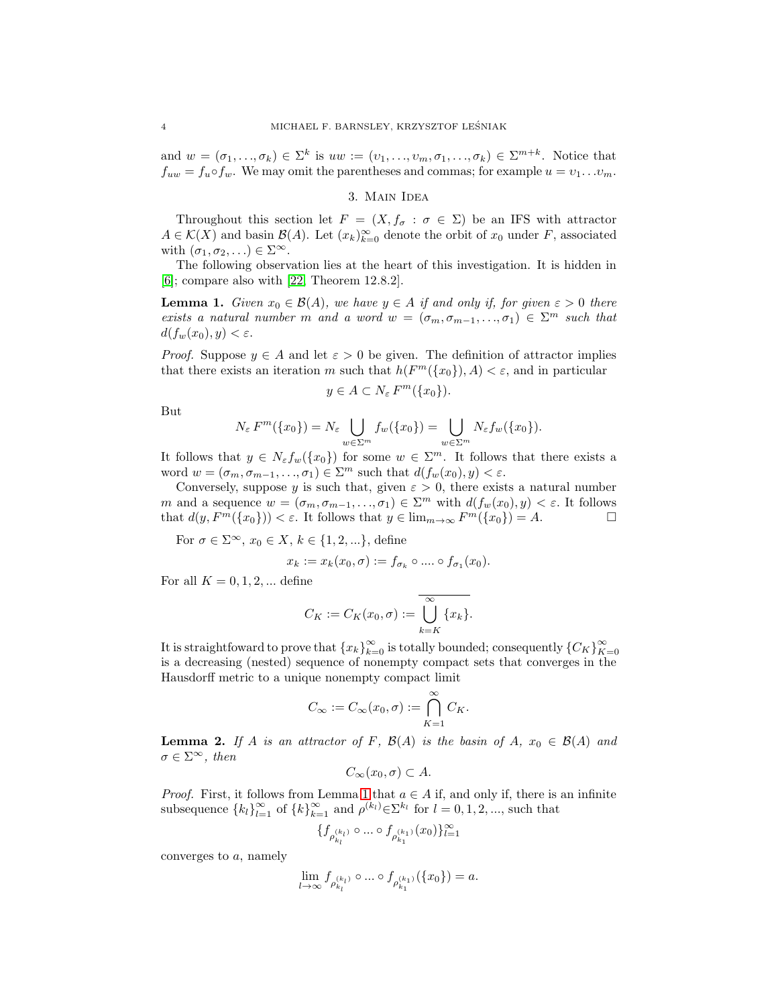<span id="page-3-0"></span>and  $w = (\sigma_1, ..., \sigma_k) \in \Sigma^k$  is  $uw := (v_1, ..., v_m, \sigma_1, ..., \sigma_k) \in \Sigma^{m+k}$ . Notice that  $f_{uw} = f_u \circ f_w$ . We may omit the parentheses and commas; for example  $u = v_1 \dots v_m$ .

### 3. Main Idea

Throughout this section let  $F = (X, f_{\sigma} : \sigma \in \Sigma)$  be an IFS with attractor  $A \in \mathcal{K}(X)$  and basin  $\mathcal{B}(A)$ . Let  $(x_k)_{k=0}^{\infty}$  denote the orbit of  $x_0$  under F, associated with  $(\sigma_1, \sigma_2, \ldots) \in \Sigma^{\infty}$ .

The following observation lies at the heart of this investigation. It is hidden in [\[6\]](#page-12-0); compare also with [\[22,](#page-13-10) Theorem 12.8.2].

<span id="page-3-1"></span>**Lemma 1.** Given  $x_0 \in \mathcal{B}(A)$ , we have  $y \in A$  if and only if, for given  $\varepsilon > 0$  there exists a natural number m and a word  $w = (\sigma_m, \sigma_{m-1}, \ldots, \sigma_1) \in \Sigma^m$  such that  $d(f_w(x_0), y) < \varepsilon.$ 

*Proof.* Suppose  $y \in A$  and let  $\varepsilon > 0$  be given. The definition of attractor implies that there exists an iteration m such that  $h(F^m(\lbrace x_0 \rbrace), A) < \varepsilon$ , and in particular

$$
y \in A \subset N_{\varepsilon} F^m(\{x_0\}).
$$

But

$$
N_{\varepsilon} F^m(\lbrace x_0 \rbrace) = N_{\varepsilon} \bigcup_{w \in \Sigma^m} f_w(\lbrace x_0 \rbrace) = \bigcup_{w \in \Sigma^m} N_{\varepsilon} f_w(\lbrace x_0 \rbrace).
$$

It follows that  $y \in N_{\varepsilon} f_w(\lbrace x_0 \rbrace)$  for some  $w \in \Sigma^m$ . It follows that there exists a word  $w = (\sigma_m, \sigma_{m-1}, \ldots, \sigma_1) \in \Sigma^m$  such that  $d(f_w(x_0), y) < \varepsilon$ .

Conversely, suppose y is such that, given  $\varepsilon > 0$ , there exists a natural number m and a sequence  $w = (\sigma_m, \sigma_{m-1}, \ldots, \sigma_1) \in \Sigma^m$  with  $d(f_w(x_0), y) < \varepsilon$ . It follows that  $d(y, F^m(\lbrace x_0 \rbrace)) < \varepsilon$ . It follows that  $y \in \lim_{m \to \infty} F^m(\lbrace x_0 \rbrace) = A$ .

For  $\sigma \in \Sigma^{\infty}$ ,  $x_0 \in X$ ,  $k \in \{1, 2, ...\}$ , define

$$
x_k := x_k(x_0, \sigma) := f_{\sigma_k} \circ \dots \circ f_{\sigma_1}(x_0).
$$

For all  $K = 0, 1, 2, \dots$  define

$$
C_K := C_K(x_0, \sigma) := \overline{\bigcup_{k=K}^{\infty} \{x_k\}}.
$$

It is straightfoward to prove that  ${x_k}_{k=0}^{\infty}$  is totally bounded; consequently  ${C_K}_{K=0}^{\infty}$ is a decreasing (nested) sequence of nonempty compact sets that converges in the Hausdorff metric to a unique nonempty compact limit

$$
C_{\infty} := C_{\infty}(x_0, \sigma) := \bigcap_{K=1}^{\infty} C_K.
$$

<span id="page-3-2"></span>**Lemma 2.** If A is an attractor of F,  $\mathcal{B}(A)$  is the basin of A,  $x_0 \in \mathcal{B}(A)$  and  $\sigma \in \Sigma^{\infty}$ , then

$$
C_{\infty}(x_0,\sigma)\subset A.
$$

*Proof.* First, it follows from Lemma [1](#page-3-1) that  $a \in A$  if, and only if, there is an infinite subsequence  $\{k_l\}_{l=1}^{\infty}$  of  $\{k\}_{k=1}^{\infty}$  and  $\rho^{(k_l)} \in \Sigma^{k_l}$  for  $l = 0, 1, 2, \dots$ , such that

$$
\{f_{\rho_{k_l}^{(k_l)}}\circ \dots \circ f_{\rho_{k_1}^{(k_1)}}(x_0)\}_{l=1}^\infty
$$

converges to a, namely

$$
\lim_{l\to\infty} f_{\rho_{k_l}^{(k_l)}}\circ\dots\circ f_{\rho_{k_1}^{(k_1)}}(\{x_0\})=a.
$$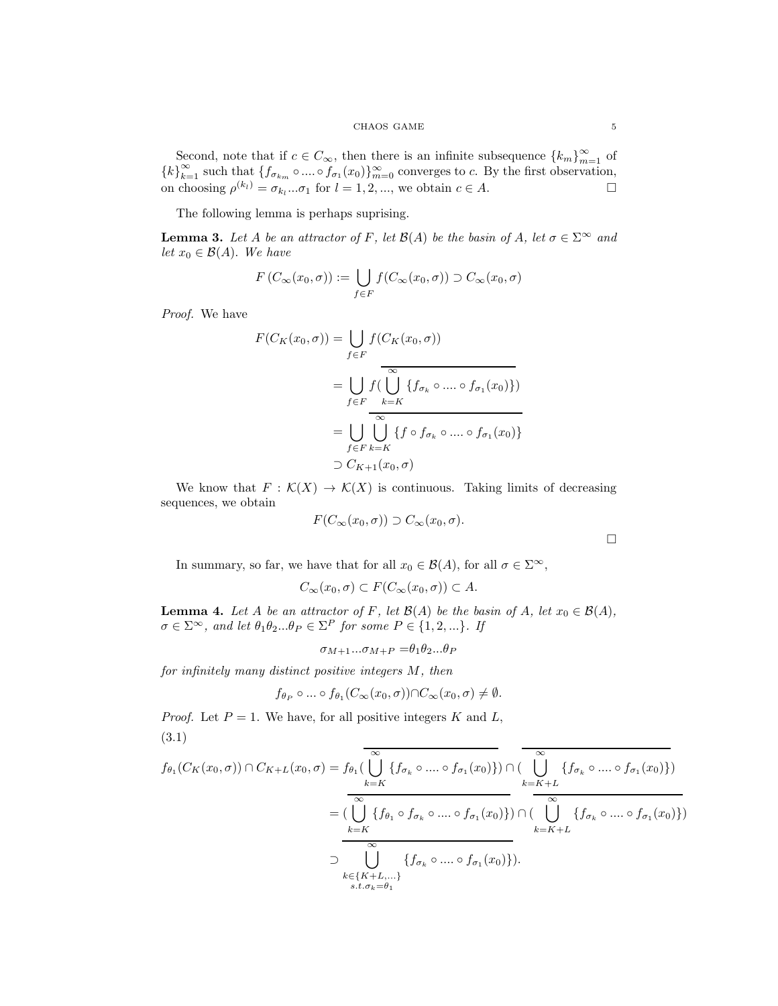Second, note that if  $c \in C_{\infty}$ , then there is an infinite subsequence  $\{k_m\}_{m=1}^{\infty}$  of  ${k}_{k=1}^{\infty}$  such that  ${f_{\sigma_{k_m}} \circ ... \circ f_{\sigma_1}(x_0)}_{m=0}^{\infty}$  converges to c. By the first observation, on choosing  $\rho^{(k_l)} = \sigma_{k_l}...\sigma_1$  for  $l = 1, 2, ...,$  we obtain  $c \in A$ .

The following lemma is perhaps suprising.

<span id="page-4-2"></span>**Lemma 3.** Let A be an attractor of F, let  $\mathcal{B}(A)$  be the basin of A, let  $\sigma \in \Sigma^{\infty}$  and let  $x_0 \in \mathcal{B}(A)$ . We have

$$
F(C_{\infty}(x_0,\sigma)) := \bigcup_{f \in F} f(C_{\infty}(x_0,\sigma)) \supset C_{\infty}(x_0,\sigma)
$$

Proof. We have

$$
F(C_K(x_0, \sigma)) = \bigcup_{f \in F} f(C_K(x_0, \sigma))
$$
  
= 
$$
\bigcup_{f \in F} f(\bigcup_{k=K}^{\infty} \{f_{\sigma_k} \circ \dots \circ f_{\sigma_1}(x_0)\})
$$
  
= 
$$
\bigcup_{f \in F} \bigcup_{k=K}^{\infty} \{f \circ f_{\sigma_k} \circ \dots \circ f_{\sigma_1}(x_0)\}
$$
  

$$
\supset C_{K+1}(x_0, \sigma)
$$

We know that  $F : \mathcal{K}(X) \to \mathcal{K}(X)$  is continuous. Taking limits of decreasing sequences, we obtain

$$
F(C_{\infty}(x_0,\sigma)) \supset C_{\infty}(x_0,\sigma).
$$

 $\Box$ 

In summary, so far, we have that for all  $x_0 \in \mathcal{B}(A)$ , for all  $\sigma \in \Sigma^{\infty}$ ,

$$
C_{\infty}(x_0,\sigma) \subset F(C_{\infty}(x_0,\sigma)) \subset A.
$$

<span id="page-4-1"></span>**Lemma 4.** Let A be an attractor of F, let  $\mathcal{B}(A)$  be the basin of A, let  $x_0 \in \mathcal{B}(A)$ ,  $\sigma \in \Sigma^{\infty}$ , and let  $\theta_1 \theta_2 ... \theta_P \in \Sigma^P$  for some  $P \in \{1, 2, ...\}$ . If

$$
\sigma_{M+1}...\sigma_{M+P} = \theta_1 \theta_2...\theta_P
$$

for infinitely many distinct positive integers M, then

$$
f_{\theta_P} \circ \dots \circ f_{\theta_1}(C_{\infty}(x_0, \sigma)) \cap C_{\infty}(x_0, \sigma) \neq \emptyset.
$$

<span id="page-4-0"></span>*Proof.* Let  $P = 1$ . We have, for all positive integers K and L, (3.1)

$$
f_{\theta_1}(C_K(x_0, \sigma)) \cap C_{K+L}(x_0, \sigma) = f_{\theta_1}(\overline{\bigcup_{k=K}^{\infty} \{f_{\sigma_k} \circ \dots \circ f_{\sigma_1}(x_0)\}}) \cap (\overline{\bigcup_{k=K+L}^{\infty} \{f_{\sigma_k} \circ \dots \circ f_{\sigma_1}(x_0)\}})
$$

$$
= (\overline{\bigcup_{k=K}^{\infty} \{f_{\theta_1} \circ f_{\sigma_k} \circ \dots \circ f_{\sigma_1}(x_0)\}}) \cap (\overline{\bigcup_{k=K+L}^{\infty} \{f_{\sigma_k} \circ \dots \circ f_{\sigma_1}(x_0)\}})
$$

$$
\supset \overline{\bigcup_{\substack{k=K+L \\ \text{with } k=K+L}}^{\infty} \{f_{\sigma_k} \circ \dots \circ f_{\sigma_1}(x_0)\}}).
$$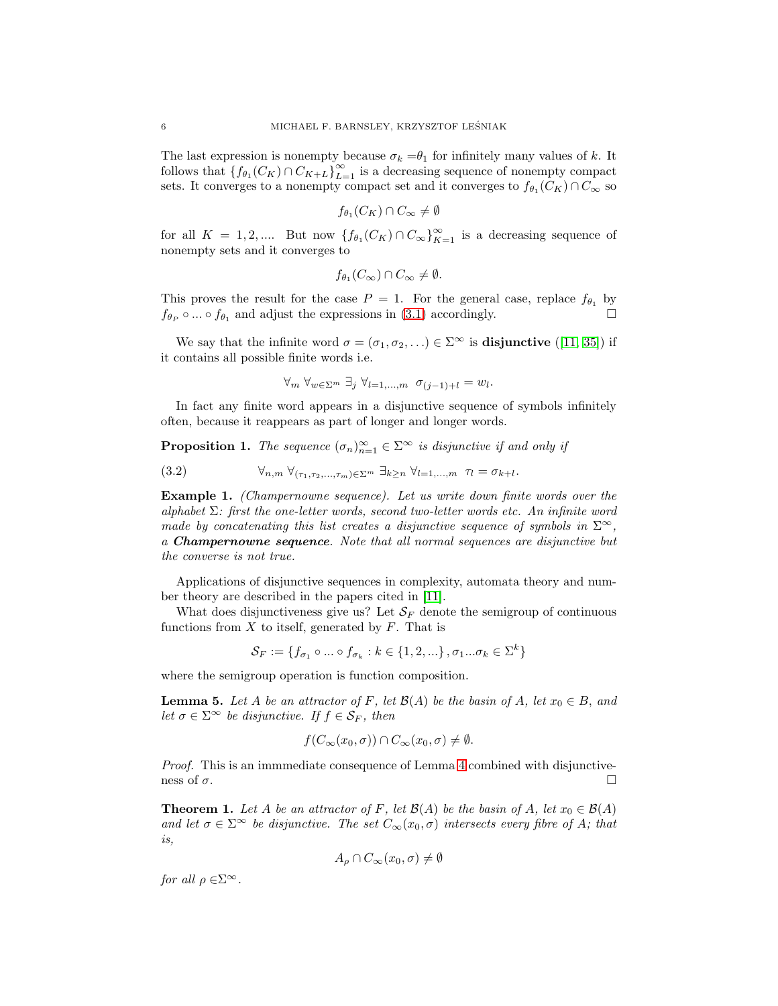The last expression is nonempty because  $\sigma_k = \theta_1$  for infinitely many values of k. It follows that  $\{f_{\theta_1}(C_K) \cap C_{K+L}\}_{L=1}^{\infty}$  is a decreasing sequence of nonempty compact sets. It converges to a nonempty compact set and it converges to  $f_{\theta_1}(C_K) \cap C_{\infty}$  so

$$
f_{\theta_1}(C_K) \cap C_{\infty} \neq \emptyset
$$

for all  $K = 1, 2, ...$  But now  $\{f_{\theta_1}(C_K) \cap C_{\infty}\}_{K=1}^{\infty}$  is a decreasing sequence of nonempty sets and it converges to

$$
f_{\theta_1}(C_{\infty}) \cap C_{\infty} \neq \emptyset.
$$

This proves the result for the case  $P = 1$ . For the general case, replace  $f_{\theta_1}$  by  $f_{\theta_P} \circ ... \circ f_{\theta_1}$  and adjust the expressions in [\(3.1\)](#page-4-0) accordingly.

We say that the infinite word  $\sigma = (\sigma_1, \sigma_2, ...) \in \Sigma^{\infty}$  is **disjunctive** ([\[11,](#page-12-9) [35\]](#page-13-11)) if it contains all possible finite words i.e.

<span id="page-5-1"></span>
$$
\forall_m \ \forall_{w \in \Sigma^m} \ \exists_j \ \forall_{l=1,\dots,m} \ \sigma_{(j-1)+l} = w_l.
$$

In fact any finite word appears in a disjunctive sequence of symbols infinitely often, because it reappears as part of longer and longer words.

**Proposition 1.** The sequence  $(\sigma_n)_{n=1}^{\infty} \in \Sigma^{\infty}$  is disjunctive if and only if

(3.2) 
$$
\forall_{n,m} \ \forall_{(\tau_1,\tau_2,\ldots,\tau_m)\in\Sigma^m} \ \exists_{k\geq n} \ \forall_{l=1,\ldots,m} \ \tau_l = \sigma_{k+l}.
$$

<span id="page-5-2"></span>Example 1. (Champernowne sequence). Let us write down finite words over the alphabet  $\Sigma$ : first the one-letter words, second two-letter words etc. An infinite word made by concatenating this list creates a disjunctive sequence of symbols in  $\Sigma^{\infty}$ , a Champernowne sequence. Note that all normal sequences are disjunctive but the converse is not true.

Applications of disjunctive sequences in complexity, automata theory and number theory are described in the papers cited in [\[11\]](#page-12-9).

What does disjunctiveness give us? Let  $\mathcal{S}_F$  denote the semigroup of continuous functions from  $X$  to itself, generated by  $F$ . That is

$$
\mathcal{S}_F := \{ f_{\sigma_1} \circ \dots \circ f_{\sigma_k} : k \in \{1, 2, \dots\}, \sigma_1 \dots \sigma_k \in \Sigma^k \}
$$

where the semigroup operation is function composition.

**Lemma 5.** Let A be an attractor of F, let  $\mathcal{B}(A)$  be the basin of A, let  $x_0 \in B$ , and let  $\sigma \in \Sigma^{\infty}$  be disjunctive. If  $f \in \mathcal{S}_F$ , then

$$
f(C_{\infty}(x_0,\sigma)) \cap C_{\infty}(x_0,\sigma) \neq \emptyset.
$$

Proof. This is an immmediate consequence of Lemma [4](#page-4-1) combined with disjunctiveness of  $\sigma$ .

<span id="page-5-0"></span>**Theorem 1.** Let A be an attractor of F, let  $\mathcal{B}(A)$  be the basin of A, let  $x_0 \in \mathcal{B}(A)$ and let  $\sigma \in \Sigma^{\infty}$  be disjunctive. The set  $C_{\infty}(x_0, \sigma)$  intersects every fibre of A; that is,

$$
A_{\rho} \cap C_{\infty}(x_0, \sigma) \neq \emptyset
$$

for all  $\rho \in \Sigma^{\infty}$ .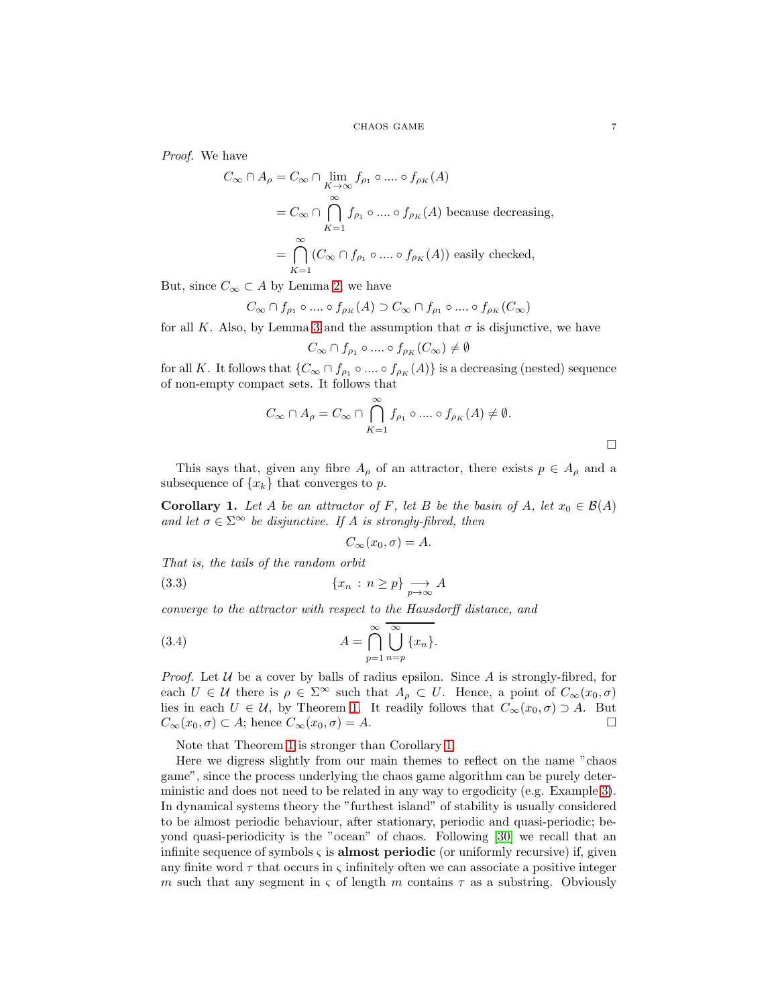Proof. We have

$$
C_{\infty} \cap A_{\rho} = C_{\infty} \cap \lim_{K \to \infty} f_{\rho_1} \circ \dots \circ f_{\rho_K}(A)
$$
  
=  $C_{\infty} \cap \bigcap_{K=1}^{\infty} f_{\rho_1} \circ \dots \circ f_{\rho_K}(A)$  because decreasing,  

$$
K=1
$$
  
=  $\bigcap_{K=1}^{\infty} (C_{\infty} \cap f_{\rho_1} \circ \dots \circ f_{\rho_K}(A))$  easily checked,

But, since  $C_{\infty} \subset A$  by Lemma [2,](#page-3-2) we have

$$
C_{\infty} \cap f_{\rho_1} \circ \dots \circ f_{\rho_K}(A) \supset C_{\infty} \cap f_{\rho_1} \circ \dots \circ f_{\rho_K}(C_{\infty})
$$

for all K. Also, by Lemma [3](#page-4-2) and the assumption that  $\sigma$  is disjunctive, we have

$$
C_{\infty} \cap f_{\rho_1} \circ \dots \circ f_{\rho_K}(C_{\infty}) \neq \emptyset
$$

for all K. It follows that  $\{C_{\infty} \cap f_{\rho_1} \circ ... \circ f_{\rho_K}(A)\}$  is a decreasing (nested) sequence of non-empty compact sets. It follows that

$$
C_{\infty} \cap A_{\rho} = C_{\infty} \cap \bigcap_{K=1}^{\infty} f_{\rho_1} \circ \dots \circ f_{\rho_K}(A) \neq \emptyset.
$$

This says that, given any fibre  $A_{\rho}$  of an attractor, there exists  $p \in A_{\rho}$  and a subsequence of  $\{x_k\}$  that converges to p.

<span id="page-6-0"></span>**Corollary 1.** Let A be an attractor of F, let B be the basin of A, let  $x_0 \in \mathcal{B}(A)$ and let  $\sigma \in \Sigma^{\infty}$  be disjunctive. If A is strongly-fibred, then

<span id="page-6-2"></span><span id="page-6-1"></span>
$$
C_{\infty}(x_0,\sigma)=A.
$$

That is, the tails of the random orbit

$$
(3.3) \t\t\t \{x_n : n \ge p\} \underset{p \to \infty}{\longrightarrow} A
$$

converge to the attractor with respect to the Hausdorff distance, and

(3.4) 
$$
A = \bigcap_{p=1}^{\infty} \overline{\bigcup_{n=p}^{\infty} \{x_n\}}.
$$

*Proof.* Let  $U$  be a cover by balls of radius epsilon. Since A is strongly-fibred, for each  $U \in \mathcal{U}$  there is  $\rho \in \Sigma^{\infty}$  such that  $A_{\rho} \subset U$ . Hence, a point of  $C_{\infty}(x_0, \sigma)$ lies in each  $U \in \mathcal{U}$ , by Theorem [1.](#page-5-0) It readily follows that  $C_{\infty}(x_0, \sigma) \supset A$ . But  $C_{\infty}(x_0, \sigma) \subset A$ ; hence  $C_{\infty}(x_0, \sigma) = A$ .

Note that Theorem [1](#page-5-0) is stronger than Corollary [1.](#page-6-0)

Here we digress slightly from our main themes to reflect on the name "chaos game", since the process underlying the chaos game algorithm can be purely deterministic and does not need to be related in any way to ergodicity (e.g. Example [3\)](#page-10-0). In dynamical systems theory the "furthest island" of stability is usually considered to be almost periodic behaviour, after stationary, periodic and quasi-periodic; beyond quasi-periodicity is the "ocean" of chaos. Following [\[30\]](#page-13-12) we recall that an infinite sequence of symbols  $\varsigma$  is **almost periodic** (or uniformly recursive) if, given any finite word  $\tau$  that occurs in  $\varsigma$  infinitely often we can associate a positive integer m such that any segment in  $\varsigma$  of length m contains  $\tau$  as a substring. Obviously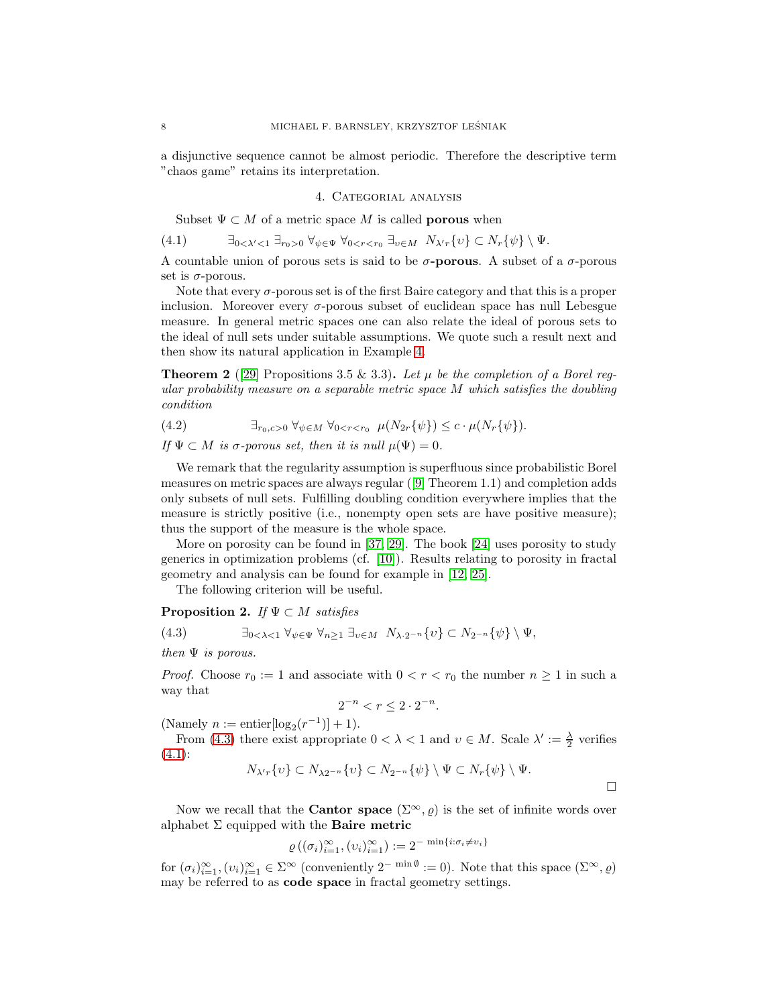<span id="page-7-0"></span>a disjunctive sequence cannot be almost periodic. Therefore the descriptive term "chaos game" retains its interpretation.

## 4. Categorial analysis

<span id="page-7-2"></span>Subset  $\Psi \subset M$  of a metric space M is called **porous** when

$$
(4.1) \qquad \exists_{0<\lambda'<1} \exists_{r_0>0} \forall_{\psi\in\Psi} \forall_{0
$$

A countable union of porous sets is said to be  $\sigma$ -porous. A subset of a  $\sigma$ -porous set is  $\sigma$ -porous.

Note that every  $\sigma$ -porous set is of the first Baire category and that this is a proper inclusion. Moreover every  $\sigma$ -porous subset of euclidean space has null Lebesgue measure. In general metric spaces one can also relate the ideal of porous sets to the ideal of null sets under suitable assumptions. We quote such a result next and then show its natural application in Example [4.](#page-10-1)

<span id="page-7-3"></span>**Theorem 2** ([\[29\]](#page-13-13) Propositions 3.5 & 3.3). Let  $\mu$  be the completion of a Borel regular probability measure on a separable metric space M which satisfies the doubling condition

$$
(4.2) \qquad \qquad \exists_{r_0, c>0} \ \forall_{\psi \in M} \ \forall_{0 < r < r_0} \ \mu(N_{2r} \{\psi\}) \leq c \cdot \mu(N_r \{\psi\}).
$$

If  $\Psi \subset M$  is  $\sigma$ -porous set, then it is null  $\mu(\Psi) = 0$ .

We remark that the regularity assumption is superfluous since probabilistic Borel measures on metric spaces are always regular ([\[9\]](#page-12-10) Theorem 1.1) and completion adds only subsets of null sets. Fulfilling doubling condition everywhere implies that the measure is strictly positive (i.e., nonempty open sets are have positive measure); thus the support of the measure is the whole space.

More on porosity can be found in [\[37,](#page-13-14) [29\]](#page-13-13). The book [\[24\]](#page-13-15) uses porosity to study generics in optimization problems (cf. [\[10\]](#page-12-11)). Results relating to porosity in fractal geometry and analysis can be found for example in [\[12,](#page-12-12) [25\]](#page-13-16).

<span id="page-7-1"></span>The following criterion will be useful.

# **Proposition 2.** If  $\Psi \subset M$  satisfies

$$
(4.3) \qquad \qquad \exists_{0<\lambda<1} \ \forall_{\psi\in\Psi} \ \forall_{n\geq 1} \ \exists_{\nu\in M} \ N_{\lambda\cdot 2^{-n}}\{\nu\} \subset N_{2^{-n}}\{\psi\} \setminus \Psi,
$$

then  $\Psi$  is porous.

*Proof.* Choose  $r_0 := 1$  and associate with  $0 < r < r_0$  the number  $n \ge 1$  in such a way that

$$
2^{-n} < r \le 2 \cdot 2^{-n}.
$$

(Namely  $n :=$  entier $\left[ \log_2(r^{-1}) \right] + 1$ ).

From [\(4.3\)](#page-7-1) there exist appropriate  $0 < \lambda < 1$  and  $v \in M$ . Scale  $\lambda' := \frac{\lambda}{2}$  verifies  $(4.1):$  $(4.1):$ 

$$
N_{\lambda' r}\{v\} \subset N_{\lambda 2^{-n}}\{v\} \subset N_{2^{-n}}\{\psi\} \setminus \Psi \subset N_r\{\psi\} \setminus \Psi.
$$

Now we recall that the **Cantor space**  $(\Sigma^{\infty}, \rho)$  is the set of infinite words over alphabet  $\Sigma$  equipped with the **Baire metric** 

$$
\varrho\left(\left(\sigma_i\right)_{i=1}^{\infty}, \left(v_i\right)_{i=1}^{\infty}\right) := 2^{-\min\{i:\sigma_i \neq v_i\}}
$$

for  $(\sigma_i)_{i=1}^{\infty}, (\nu_i)_{i=1}^{\infty} \in \Sigma^{\infty}$  (conveniently  $2^{-\min \emptyset} := 0$ ). Note that this space  $(\Sigma^{\infty}, \varrho)$ may be referred to as code space in fractal geometry settings.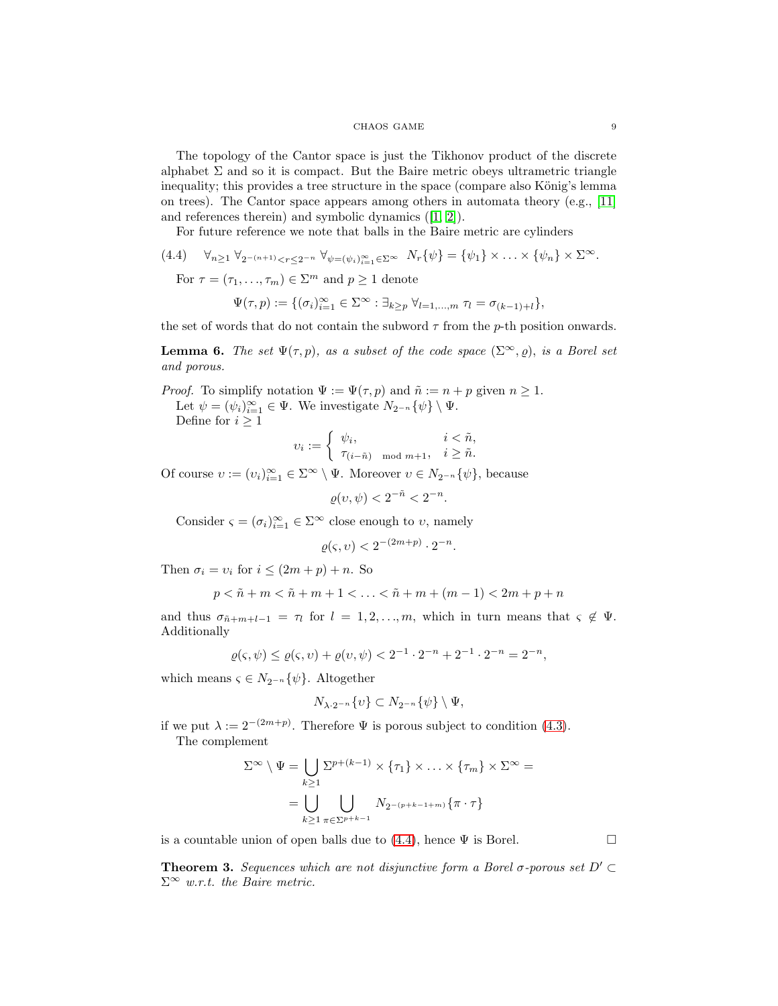### CHAOS GAME  $\hskip 1.5cm 9$

The topology of the Cantor space is just the Tikhonov product of the discrete alphabet  $\Sigma$  and so it is compact. But the Baire metric obeys ultrametric triangle inequality; this provides a tree structure in the space (compare also König's lemma on trees). The Cantor space appears among others in automata theory (e.g., [\[11\]](#page-12-9) and references therein) and symbolic dynamics ([\[1,](#page-12-1) [2\]](#page-12-2)).

<span id="page-8-0"></span>For future reference we note that balls in the Baire metric are cylinders

(4.4)  $\forall_{n\geq 1} \forall_{2^{-(n+1)}< r\leq 2^{-n}} \forall_{\psi=(\psi_i)_{i=1}^{\infty}\in\Sigma^{\infty}} N_r\{\psi\} = \{\psi_1\} \times \ldots \times \{\psi_n\} \times \Sigma^{\infty}.$ 

For  $\tau = (\tau_1, \ldots, \tau_m) \in \Sigma^m$  and  $p \geq 1$  denote

$$
\Psi(\tau, p) := \{ (\sigma_i)_{i=1}^{\infty} \in \Sigma^{\infty} : \exists_{k \geq p} \ \forall_{l=1,\dots,m} \ \tau_l = \sigma_{(k-1)+l} \},
$$

the set of words that do not contain the subword  $\tau$  from the p-th position onwards.

<span id="page-8-1"></span>**Lemma 6.** The set  $\Psi(\tau, p)$ , as a subset of the code space  $(\Sigma^{\infty}, \varrho)$ , is a Borel set and porous.

*Proof.* To simplify notation  $\Psi := \Psi(\tau, p)$  and  $\tilde{n} := n + p$  given  $n \geq 1$ . Let  $\psi = (\psi_i)_{i=1}^{\infty} \in \Psi$ . We investigate  $N_{2^{-n}}\{\psi\} \setminus \Psi$ . Define for  $i \geq 1$ 

$$
\upsilon_i := \begin{cases} \psi_i, & i < \tilde{n}, \\ \tau_{(i-\tilde{n}) \mod m+1}, & i \geq \tilde{n}. \end{cases}
$$

Of course  $v := (v_i)_{i=1}^{\infty} \in \Sigma^{\infty} \setminus \Psi$ . Moreover  $v \in N_{2^{-n}}\{\psi\}$ , because

 $\rho(v, \psi) < 2^{-\tilde{n}} < 2^{-n}.$ 

Consider  $\varsigma = (\sigma_i)_{i=1}^{\infty} \in \Sigma^{\infty}$  close enough to  $v$ , namely

$$
\varrho(\varsigma, \upsilon) < 2^{-(2m+p)} \cdot 2^{-n}.
$$

Then  $\sigma_i = v_i$  for  $i \leq (2m+p) + n$ . So

$$
p < \tilde{n} + m < \tilde{n} + m + 1 < \ldots < \tilde{n} + m + (m - 1) < 2m + p + n
$$

and thus  $\sigma_{\tilde{n}+m+l-1} = \tau_l$  for  $l = 1, 2, ..., m$ , which in turn means that  $\varsigma \notin \Psi$ . Additionally

$$
\varrho(\varsigma,\psi) \le \varrho(\varsigma,v) + \varrho(v,\psi) < 2^{-1} \cdot 2^{-n} + 2^{-1} \cdot 2^{-n} = 2^{-n},
$$

which means  $\varsigma \in N_{2^{-n}}\{\psi\}$ . Altogether

$$
N_{\lambda \cdot 2^{-n}} \{v\} \subset N_{2^{-n}} \{\psi\} \setminus \Psi,
$$

if we put  $\lambda := 2^{-(2m+p)}$ . Therefore  $\Psi$  is porous subject to condition [\(4.3\)](#page-7-1).

The complement

$$
\Sigma^{\infty} \setminus \Psi = \bigcup_{k \ge 1} \Sigma^{p+(k-1)} \times \{\tau_1\} \times \ldots \times \{\tau_m\} \times \Sigma^{\infty} =
$$

$$
= \bigcup_{k \ge 1} \bigcup_{\pi \in \Sigma^{p+k-1}} N_{2^{-(p+k-1+m)}} \{\pi \cdot \tau\}
$$

is a countable union of open balls due to  $(4.4)$ , hence  $\Psi$  is Borel.

<span id="page-8-2"></span>**Theorem 3.** Sequences which are not disjunctive form a Borel  $\sigma$ -porous set  $D' \subset$  $\Sigma^{\infty}$  w.r.t. the Baire metric.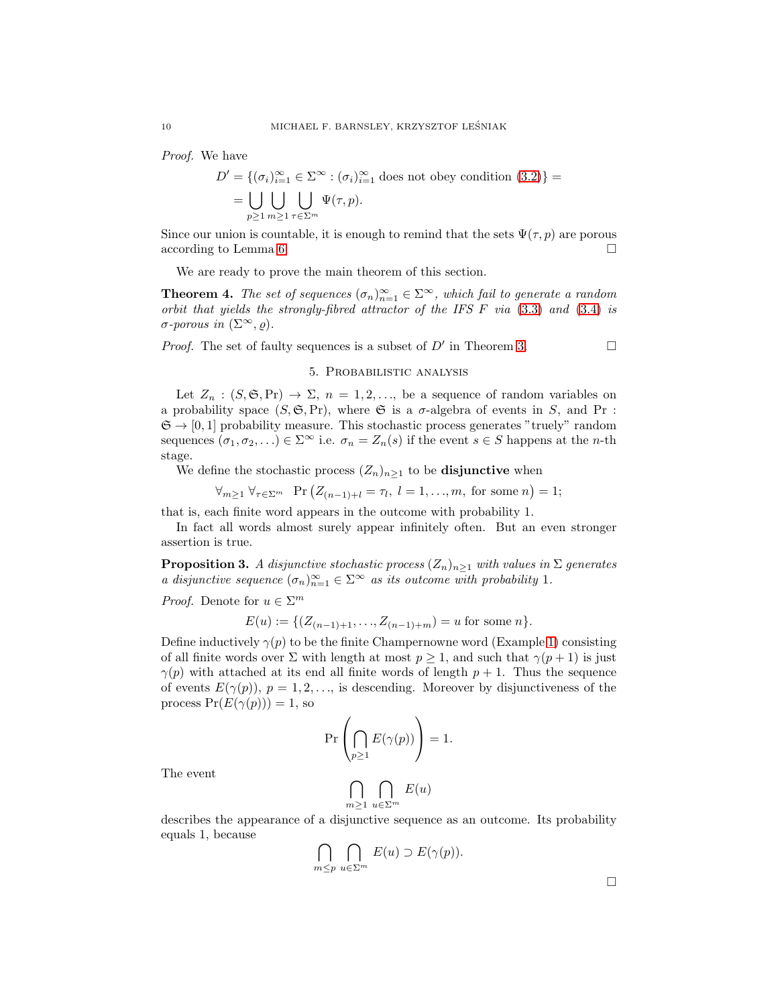Proof. We have

$$
D' = \{ (\sigma_i)_{i=1}^{\infty} \in \Sigma^{\infty} : (\sigma_i)_{i=1}^{\infty} \text{ does not obey condition (3.2)} \} =
$$
  
= 
$$
\bigcup_{p \ge 1} \bigcup_{m \ge 1} \bigcup_{\tau \in \Sigma^m} \Psi(\tau, p).
$$

Since our union is countable, it is enough to remind that the sets  $\Psi(\tau, p)$  are porous according to Lemma [6.](#page-8-1)

We are ready to prove the main theorem of this section.

<span id="page-9-0"></span>**Theorem 4.** The set of sequences  $(\sigma_n)_{n=1}^{\infty} \in \Sigma^{\infty}$ , which fail to generate a random orbit that yields the strongly-fibred attractor of the IFS F via [\(3.3\)](#page-6-1) and [\(3.4\)](#page-6-2) is σ-porous in (Σ∞, ̺).

<span id="page-9-1"></span>*Proof.* The set of faulty sequences is a subset of  $D'$  in Theorem [3.](#page-8-2)

### 5. Probabilistic analysis

Let  $Z_n : (S, \mathfrak{S}, \mathrm{Pr}) \to \Sigma$ ,  $n = 1, 2, \ldots$ , be a sequence of random variables on a probability space  $(S, \mathfrak{S}, Pr)$ , where  $\mathfrak{S}$  is a  $\sigma$ -algebra of events in S, and Pr :  $\mathfrak{S} \to [0,1]$  probability measure. This stochastic process generates "truely" random sequences  $(\sigma_1, \sigma_2, \ldots) \in \Sigma^\infty$  i.e.  $\sigma_n = Z_n(s)$  if the event  $s \in S$  happens at the *n*-th stage.

We define the stochastic process  $(Z_n)_{n\geq 1}$  to be **disjunctive** when

$$
\forall_{m\geq 1} \ \forall_{\tau \in \Sigma^m} \ \Pr\left(Z_{(n-1)+l}=\tau_l, \ l=1,\ldots,m, \text{ for some } n\right)=1;
$$

that is, each finite word appears in the outcome with probability 1.

In fact all words almost surely appear infinitely often. But an even stronger assertion is true.

<span id="page-9-2"></span>**Proposition 3.** A disjunctive stochastic process  $(Z_n)_{n\geq 1}$  with values in  $\Sigma$  generates a disjunctive sequence  $(\sigma_n)_{n=1}^{\infty} \in \Sigma^{\infty}$  as its outcome with probability 1.

*Proof.* Denote for  $u \in \Sigma^m$ 

$$
E(u) := \{ (Z_{(n-1)+1}, \ldots, Z_{(n-1)+m}) = u \text{ for some } n \}.
$$

Define inductively  $\gamma(p)$  to be the finite Champernowne word (Example [1\)](#page-5-2) consisting of all finite words over  $\Sigma$  with length at most  $p \ge 1$ , and such that  $\gamma(p+1)$  is just  $\gamma(p)$  with attached at its end all finite words of length  $p + 1$ . Thus the sequence of events  $E(\gamma(p))$ ,  $p = 1, 2, \ldots$ , is descending. Moreover by disjunctiveness of the process  $Pr(E(\gamma(p))) = 1$ , so

$$
\Pr\left(\bigcap_{p\geq 1}E(\gamma(p))\right)=1.
$$

The event

$$
\bigcap_{m\geq 1}\bigcap_{u\in\Sigma^m}E(u)
$$

describes the appearance of a disjunctive sequence as an outcome. Its probability equals 1, because

$$
\bigcap_{m \le p} \bigcap_{u \in \Sigma^m} E(u) \supset E(\gamma(p)).
$$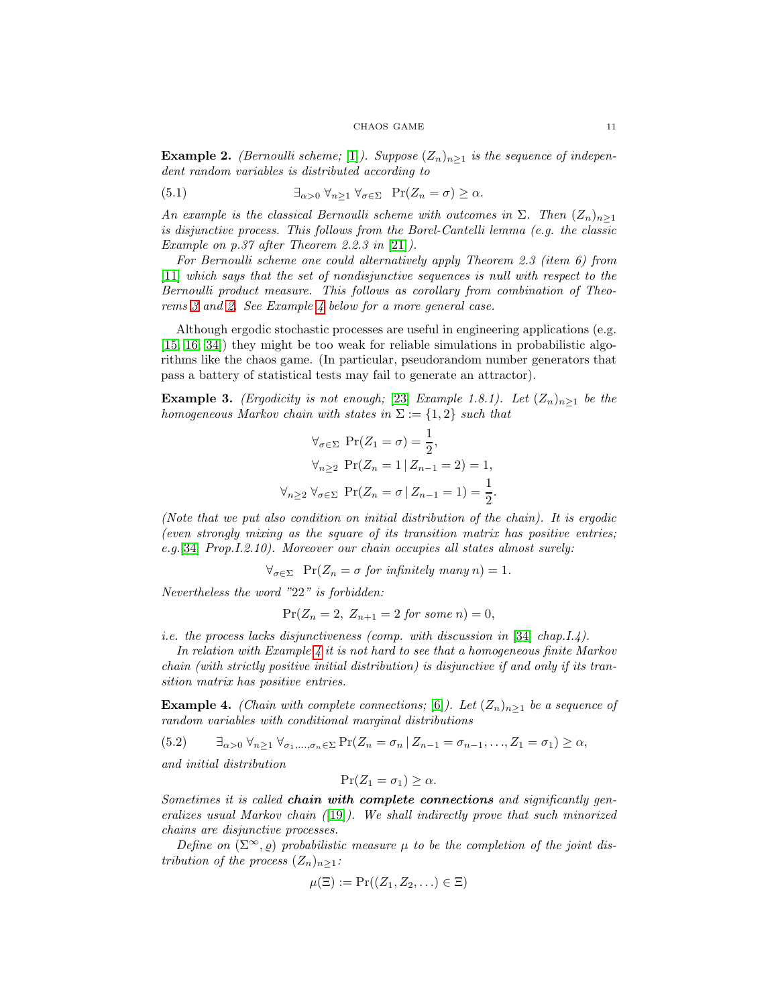**Example 2.** (Bernoulli scheme; [\[1\]](#page-12-1)). Suppose  $(Z_n)_{n\geq 1}$  is the sequence of independent random variables is distributed according to

$$
\exists_{\alpha>0} \ \forall_{n\geq 1} \ \forall_{\sigma\in\Sigma} \ \Pr(Z_n=\sigma)\geq \alpha.
$$

An example is the classical Bernoulli scheme with outcomes in  $\Sigma$ . Then  $(Z_n)_{n>1}$ is disjunctive process. This follows from the Borel-Cantelli lemma (e.g. the classic Example on p.37 after Theorem 2.2.3 in [\[21\]](#page-13-17)).

For Bernoulli scheme one could alternatively apply Theorem 2.3 (item 6) from [\[11\]](#page-12-9) which says that the set of nondisjunctive sequences is null with respect to the Bernoulli product measure. This follows as corollary from combination of Theorems [3](#page-8-2) and [2.](#page-7-3) See Example [4](#page-10-1) below for a more general case.

Although ergodic stochastic processes are useful in engineering applications (e.g. [\[15,](#page-13-18) [16,](#page-13-19) [34\]](#page-13-20)) they might be too weak for reliable simulations in probabilistic algorithms like the chaos game. (In particular, pseudorandom number generators that pass a battery of statistical tests may fail to generate an attractor).

<span id="page-10-0"></span>**Example 3.** (*Ergodicity is not enough*; [\[23\]](#page-13-21) *Example 1.8.1*). Let  $(Z_n)_{n>1}$  be the homogeneous Markov chain with states in  $\Sigma := \{1,2\}$  such that

$$
\forall_{\sigma \in \Sigma} \Pr(Z_1 = \sigma) = \frac{1}{2},
$$
  

$$
\forall_{n \ge 2} \Pr(Z_n = 1 | Z_{n-1} = 2) = 1,
$$
  

$$
\forall_{n \ge 2} \forall_{\sigma \in \Sigma} \Pr(Z_n = \sigma | Z_{n-1} = 1) = \frac{1}{2}.
$$

(Note that we put also condition on initial distribution of the chain). It is ergodic (even strongly mixing as the square of its transition matrix has positive entries; e.g.[\[34\]](#page-13-20) Prop.I.2.10). Moreover our chain occupies all states almost surely:

$$
\forall_{\sigma \in \Sigma} \quad \Pr(Z_n = \sigma \text{ for infinitely many } n) = 1.
$$

Nevertheless the word "22" is forbidden:

$$
Pr(Z_n = 2, Z_{n+1} = 2 \text{ for some } n) = 0,
$$

i.e. the process lacks disjunctiveness (comp. with discussion in [\[34\]](#page-13-20) chap.I.4).

In relation with Example [4](#page-10-1) it is not hard to see that a homogeneous finite Markov chain (with strictly positive initial distribution) is disjunctive if and only if its transition matrix has positive entries.

<span id="page-10-1"></span>**Example 4.** (Chain with complete connections; [\[6\]](#page-12-0)). Let  $(Z_n)_{n\geq 1}$  be a sequence of random variables with conditional marginal distributions

<span id="page-10-2"></span>
$$
(5.2) \qquad \exists_{\alpha>0} \ \forall_{n\geq 1} \ \forall_{\sigma_1,\dots,\sigma_n\in\Sigma} \Pr(Z_n = \sigma_n \ | Z_{n-1} = \sigma_{n-1},\dots,Z_1 = \sigma_1) \geq \alpha,
$$

and initial distribution

$$
\Pr(Z_1 = \sigma_1) \ge \alpha.
$$

Sometimes it is called chain with complete connections and significantly generalizes usual Markov chain  $(19)$ . We shall indirectly prove that such minorized chains are disjunctive processes.

Define on  $(\Sigma^{\infty}, \varrho)$  probabilistic measure  $\mu$  to be the completion of the joint distribution of the process  $(Z_n)_{n\geq 1}$ :

$$
\mu(\Xi):=\Pr((Z_1,Z_2,\ldots)\in\Xi)
$$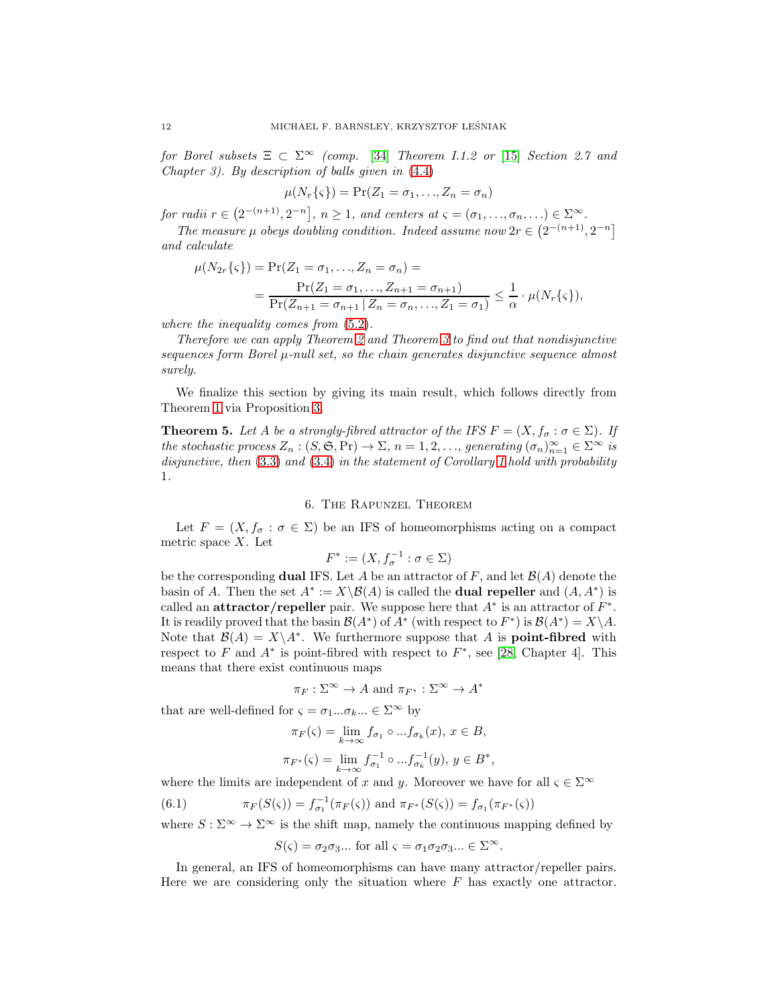for Borel subsets  $\Xi \subset \Sigma^{\infty}$  (comp. [\[34\]](#page-13-20) Theorem I.1.2 or [\[15\]](#page-13-18) Section 2.7 and Chapter 3). By description of balls given in [\(4.4\)](#page-8-0)

$$
\mu(N_r\{\varsigma\}) = \Pr(Z_1 = \sigma_1, \ldots, Z_n = \sigma_n)
$$

for radii  $r \in (2^{-(n+1)}, 2^{-n}]$ ,  $n \ge 1$ , and centers at  $\varsigma = (\sigma_1, \ldots, \sigma_n, \ldots) \in \Sigma^{\infty}$ .

The measure  $\mu$  obeys doubling condition. Indeed assume now  $2r \in (2^{-(n+1)}, 2^{-n}]$ and calculate

$$
\mu(N_{2r}\{\varsigma\}) = \Pr(Z_1 = \sigma_1, ..., Z_n = \sigma_n) =
$$
  
= 
$$
\frac{\Pr(Z_1 = \sigma_1, ..., Z_{n+1} = \sigma_{n+1})}{\Pr(Z_{n+1} = \sigma_{n+1} | Z_n = \sigma_n, ..., Z_1 = \sigma_1)} \leq \frac{1}{\alpha} \cdot \mu(N_r\{\varsigma\}),
$$

where the inequality comes from [\(5.2\)](#page-10-2).

Therefore we can apply Theorem [2](#page-7-3) and Theorem [3](#page-8-2) to find out that nondisjunctive sequences form Borel  $\mu$ -null set, so the chain generates disjunctive sequence almost surely.

We finalize this section by giving its main result, which follows directly from Theorem [1](#page-5-0) via Proposition [3.](#page-9-2)

<span id="page-11-0"></span>**Theorem 5.** Let A be a strongly-fibred attractor of the IFS  $F = (X, f_{\sigma} : \sigma \in \Sigma)$ . If the stochastic process  $Z_n : (S, \mathfrak{S}, Pr) \to \Sigma$ ,  $n = 1, 2, ...,$  generating  $(\sigma_n)_{n=1}^{\infty} \in \Sigma^{\infty}$  is disjunctive, then  $(3.3)$  and  $(3.4)$  in the statement of Corollary [1](#page-6-0) hold with probability 1.

### 6. The Rapunzel Theorem

<span id="page-11-1"></span>Let  $F = (X, f_{\sigma} : \sigma \in \Sigma)$  be an IFS of homeomorphisms acting on a compact metric space  $X$ . Let

$$
F^* := (X, f_{\sigma}^{-1} : \sigma \in \Sigma)
$$

be the corresponding **dual** IFS. Let A be an attractor of F, and let  $\mathcal{B}(A)$  denote the basin of A. Then the set  $A^* := X \setminus \mathcal{B}(A)$  is called the **dual repeller** and  $(A, A^*)$  is called an attractor/repeller pair. We suppose here that  $A^*$  is an attractor of  $F^*$ . It is readily proved that the basin  $\mathcal{B}(A^*)$  of  $A^*$  (with respect to  $F^*$ ) is  $\mathcal{B}(A^*) = X \setminus A$ . Note that  $\mathcal{B}(A) = X \setminus A^*$ . We furthermore suppose that A is **point-fibred** with respect to  $F$  and  $A^*$  is point-fibred with respect to  $F^*$ , see [\[28,](#page-13-8) Chapter 4]. This means that there exist continuous maps

$$
\pi_F : \Sigma^{\infty} \to A
$$
 and  $\pi_{F^*} : \Sigma^{\infty} \to A^*$ 

that are well-defined for  $\varsigma = \sigma_1...\sigma_k...\in \Sigma^{\infty}$  by

$$
\pi_F(\varsigma) = \lim_{k \to \infty} f_{\sigma_1} \circ \dots f_{\sigma_k}(x), \, x \in B,
$$
  

$$
\pi_{F^*}(\varsigma) = \lim_{k \to \infty} f_{\sigma_1}^{-1} \circ \dots f_{\sigma_k}^{-1}(y), \, y \in B^*,
$$

where the limits are independent of x and y. Moreover we have for all  $\varsigma \in \Sigma^{\infty}$ 

(6.1) 
$$
\pi_F(S(\varsigma)) = f_{\sigma_1}^{-1}(\pi_F(\varsigma)) \text{ and } \pi_{F^*}(S(\varsigma)) = f_{\sigma_1}(\pi_{F^*}(\varsigma))
$$

where  $S : \Sigma^{\infty} \to \Sigma^{\infty}$  is the shift map, namely the continuous mapping defined by

<span id="page-11-2"></span>
$$
S(\varsigma) = \sigma_2 \sigma_3 ...
$$
 for all  $\varsigma = \sigma_1 \sigma_2 \sigma_3 ... \in \Sigma^{\infty}$ .

In general, an IFS of homeomorphisms can have many attractor/repeller pairs. Here we are considering only the situation where  $F$  has exactly one attractor.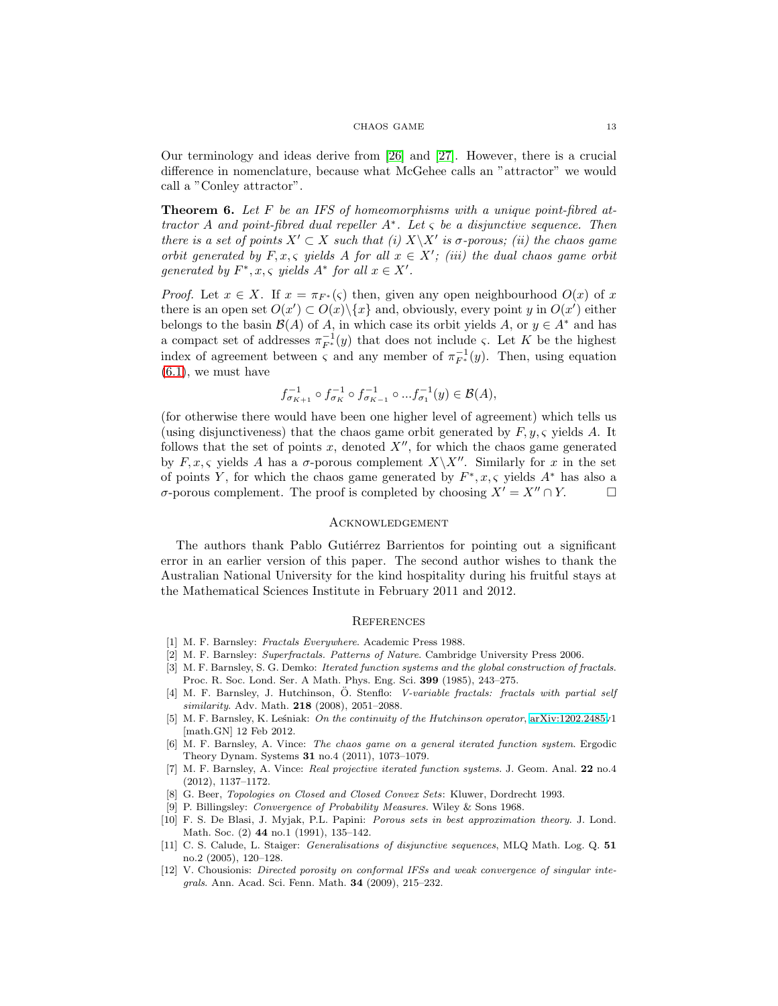### CHAOS GAME 13

Our terminology and ideas derive from [\[26\]](#page-13-23) and [\[27\]](#page-13-24). However, there is a crucial difference in nomenclature, because what McGehee calls an "attractor" we would call a "Conley attractor".

<span id="page-12-4"></span>**Theorem 6.** Let F be an IFS of homeomorphisms with a unique point-fibred attractor A and point-fibred dual repeller  $A^*$ . Let  $\varsigma$  be a disjunctive sequence. Then there is a set of points  $X' \subset X$  such that (i)  $X \backslash X'$  is  $\sigma$ -porous; (ii) the chaos game orbit generated by  $F, x, \varsigma$  yields A for all  $x \in X'$ ; (iii) the dual chaos game orbit generated by  $F^*, x, \varsigma$  yields  $A^*$  for all  $x \in X'$ .

*Proof.* Let  $x \in X$ . If  $x = \pi_{F^*}(\varsigma)$  then, given any open neighbourhood  $O(x)$  of x there is an open set  $O(x') \subset O(x) \setminus \{x\}$  and, obviously, every point y in  $O(x')$  either belongs to the basin  $\mathcal{B}(A)$  of A, in which case its orbit yields A, or  $y \in A^*$  and has a compact set of addresses  $\pi_{F^*}^{-1}(y)$  that does not include  $\varsigma$ . Let K be the highest index of agreement between  $\varsigma$  and any member of  $\pi_{F^*}^{-1}(y)$ . Then, using equation  $(6.1)$ , we must have

$$
f_{\sigma_{K+1}}^{-1} \circ f_{\sigma_K}^{-1} \circ f_{\sigma_{K-1}}^{-1} \circ ... f_{\sigma_1}^{-1}(y) \in \mathcal{B}(A),
$$

(for otherwise there would have been one higher level of agreement) which tells us (using disjunctiveness) that the chaos game orbit generated by  $F, y, \varsigma$  yields A. It follows that the set of points  $x$ , denoted  $X''$ , for which the chaos game generated by  $F, x, \varsigma$  yields A has a  $\sigma$ -porous complement  $X\backslash X''$ . Similarly for x in the set of points Y, for which the chaos game generated by  $F^*, x, \varsigma$  yields  $A^*$  has also a  $σ$ -porous complement. The proof is completed by choosing  $X' = X'' \cap Y$ . □

### **ACKNOWLEDGEMENT**

The authors thank Pablo Gutiérrez Barrientos for pointing out a significant error in an earlier version of this paper. The second author wishes to thank the Australian National University for the kind hospitality during his fruitful stays at the Mathematical Sciences Institute in February 2011 and 2012.

### **REFERENCES**

- <span id="page-12-2"></span><span id="page-12-1"></span>[1] M. F. Barnsley: Fractals Everywhere. Academic Press 1988.
- <span id="page-12-6"></span>[2] M. F. Barnsley: Superfractals. Patterns of Nature. Cambridge University Press 2006.
- [3] M. F. Barnsley, S. G. Demko: *Iterated function systems and the global construction of fractals*. Proc. R. Soc. Lond. Ser. A Math. Phys. Eng. Sci. 399 (1985), 243–275.
- <span id="page-12-3"></span>[4] M. F. Barnsley, J. Hutchinson, Ö. Stenflo: V-variable fractals: fractals with partial self similarity. Adv. Math. 218 (2008), 2051–2088.
- <span id="page-12-7"></span>[5] M. F. Barnsley, K. Leśniak: On the continuity of the Hutchinson operator, [arXiv:1202.2485v](http://arxiv.org/abs/1202.2485)1 [math.GN] 12 Feb 2012.
- <span id="page-12-0"></span>[6] M. F. Barnsley, A. Vince: The chaos game on a general iterated function system. Ergodic Theory Dynam. Systems 31 no.4 (2011), 1073–1079.
- <span id="page-12-8"></span>[7] M. F. Barnsley, A. Vince: Real projective iterated function systems. J. Geom. Anal. 22 no.4 (2012), 1137–1172.
- <span id="page-12-10"></span><span id="page-12-5"></span>[8] G. Beer, Topologies on Closed and Closed Convex Sets: Kluwer, Dordrecht 1993.
- <span id="page-12-11"></span>[9] P. Billingsley: Convergence of Probability Measures. Wiley & Sons 1968.
- [10] F. S. De Blasi, J. Myjak, P.L. Papini: Porous sets in best approximation theory. J. Lond. Math. Soc. (2) 44 no.1 (1991), 135–142.
- <span id="page-12-9"></span>[11] C. S. Calude, L. Staiger: Generalisations of disjunctive sequences, MLQ Math. Log. Q. 51 no.2 (2005), 120–128.
- <span id="page-12-12"></span>[12] V. Chousionis: *Directed porosity on conformal IFSs and weak convergence of singular inte*grals. Ann. Acad. Sci. Fenn. Math. 34 (2009), 215–232.